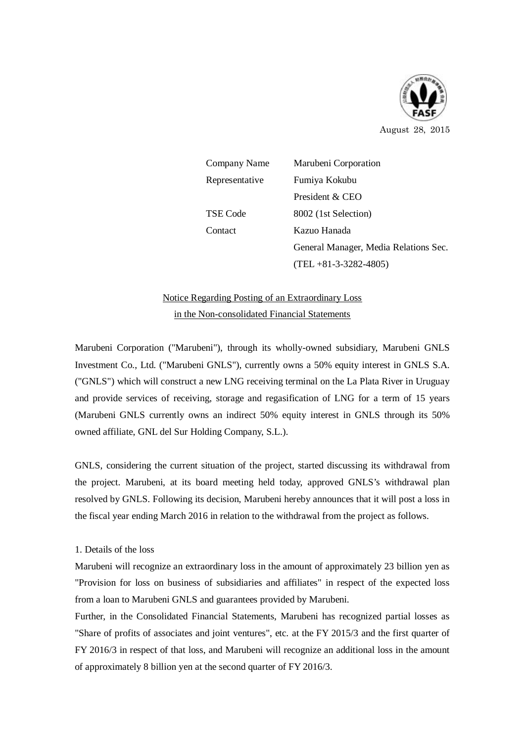

August 28, 2015

Company Name Marubeni Corporation Representative Fumiya Kokubu President & CEO TSE Code 8002 (1st Selection) Contact Kazuo Hanada General Manager, Media Relations Sec. (TEL +81-3-3282-4805)

## Notice Regarding Posting of an Extraordinary Loss in the Non-consolidated Financial Statements

Marubeni Corporation ("Marubeni"), through its wholly-owned subsidiary, Marubeni GNLS Investment Co., Ltd. ("Marubeni GNLS"), currently owns a 50% equity interest in GNLS S.A. ("GNLS") which will construct a new LNG receiving terminal on the La Plata River in Uruguay and provide services of receiving, storage and regasification of LNG for a term of 15 years (Marubeni GNLS currently owns an indirect 50% equity interest in GNLS through its 50% owned affiliate, GNL del Sur Holding Company, S.L.).

GNLS, considering the current situation of the project, started discussing its withdrawal from the project. Marubeni, at its board meeting held today, approved GNLS's withdrawal plan resolved by GNLS. Following its decision, Marubeni hereby announces that it will post a loss in the fiscal year ending March 2016 in relation to the withdrawal from the project as follows.

## 1. Details of the loss

Marubeni will recognize an extraordinary loss in the amount of approximately 23 billion yen as "Provision for loss on business of subsidiaries and affiliates" in respect of the expected loss from a loan to Marubeni GNLS and guarantees provided by Marubeni.

Further, in the Consolidated Financial Statements, Marubeni has recognized partial losses as "Share of profits of associates and joint ventures", etc. at the FY 2015/3 and the first quarter of FY 2016/3 in respect of that loss, and Marubeni will recognize an additional loss in the amount of approximately 8 billion yen at the second quarter of FY 2016/3.